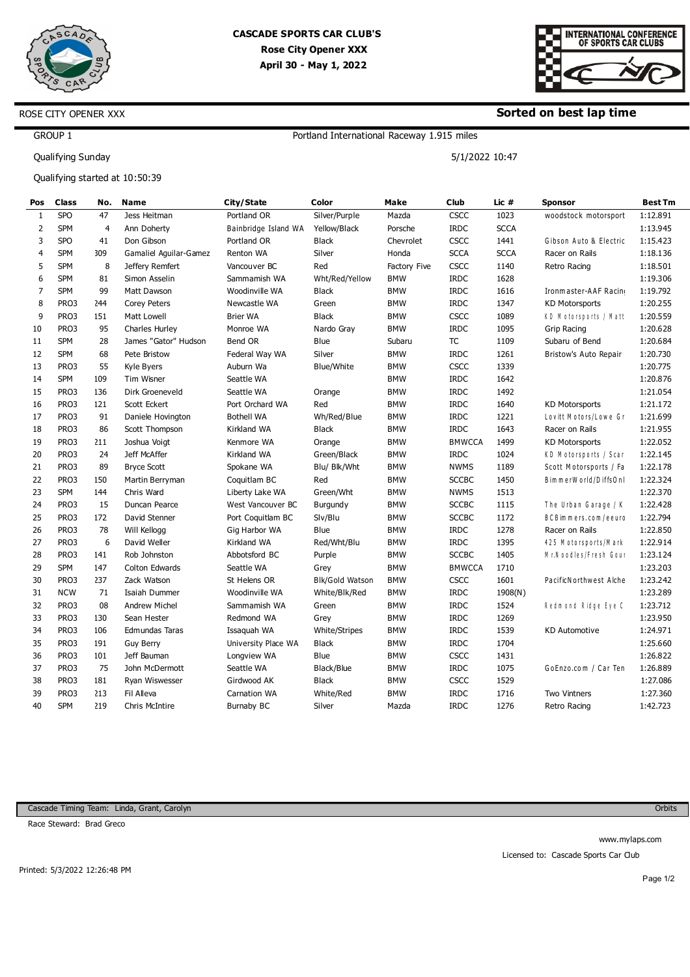



#### **Sorted on best lap time**

5/1/2022 10:47

### GROUP 1

Qualifying Sunday

ROSE CITY OPENER XXX

Qualifying started at 10:50:39

| Pos            | Class      | No.             | <b>Name</b>            | City/State           | Color             | <b>Make</b>  | Club          | Lic #       | <b>Sponsor</b>          | <b>Best Tm</b> |
|----------------|------------|-----------------|------------------------|----------------------|-------------------|--------------|---------------|-------------|-------------------------|----------------|
| 1              | <b>SPO</b> | 47              | Jess Heitman           | Portland OR          | Silver/Purple     | Mazda        | <b>CSCC</b>   | 1023        | woodstock motorsport    | 1:12.891       |
| $\overline{2}$ | <b>SPM</b> | $\overline{4}$  | Ann Doherty            | Bainbridge Island WA | Yellow/Black      | Porsche      | <b>IRDC</b>   | <b>SCCA</b> |                         | 1:13.945       |
| 3              | <b>SPO</b> | 41              | Don Gibson             | Portland OR          | <b>Black</b>      | Chevrolet    | <b>CSCC</b>   | 1441        | Gibson Auto & Electric  | 1:15.423       |
| $\overline{4}$ | <b>SPM</b> | 309             | Gamaliel Aguilar-Gamez | Renton WA            | Silver            | Honda        | <b>SCCA</b>   | <b>SCCA</b> | Racer on Rails          | 1:18.136       |
| 5              | <b>SPM</b> | 8               | Jeffery Remfert        | Vancouver BC         | Red               | Factory Five | CSCC          | 1140        | Retro Racing            | 1:18.501       |
| 6              | <b>SPM</b> | 81              | Simon Asselin          | Sammamish WA         | Wht/Red/Yellow    | <b>BMW</b>   | <b>IRDC</b>   | 1628        |                         | 1:19.306       |
| $\overline{7}$ | <b>SPM</b> | 99              | Matt Dawson            | Woodinville WA       | <b>Black</b>      | <b>BMW</b>   | <b>IRDC</b>   | 1616        | Ironmaster-AAF Racin    | 1:19.792       |
| 8              | PRO3       | 244             | Corey Peters           | Newcastle WA         | Green             | <b>BMW</b>   | <b>IRDC</b>   | 1347        | <b>KD Motorsports</b>   | 1:20.255       |
| 9              | PRO3       | <b>L51</b>      | Matt Lowell            | <b>Brier WA</b>      | <b>Black</b>      | <b>BMW</b>   | <b>CSCC</b>   | 1089        | KD Motorsports / Matt   | 1:20.559       |
| 10             | PRO3       | 95              | Charles Hurley         | Monroe WA            | Nardo Gray        | <b>BMW</b>   | <b>IRDC</b>   | 1095        | <b>Grip Racing</b>      | 1:20.628       |
| 11             | <b>SPM</b> | 28              | James "Gator" Hudson   | Bend OR              | Blue              | Subaru       | <b>TC</b>     | 1109        | Subaru of Bend          | 1:20.684       |
| 12             | <b>SPM</b> | 68              | Pete Bristow           | Federal Way WA       | Silver            | <b>BMW</b>   | <b>IRDC</b>   | 1261        | Bristow's Auto Repair   | 1:20.730       |
| 13             | PRO3       | 55              | Kyle Byers             | Auburn Wa            | <b>Blue/White</b> | <b>BMW</b>   | <b>CSCC</b>   | 1339        |                         | 1:20.775       |
| 14             | <b>SPM</b> | <b>LO9</b>      | Tim Wisner             | Seattle WA           |                   | <b>BMW</b>   | <b>IRDC</b>   | 1642        |                         | 1:20.876       |
| 15             | PRO3       | L36             | Dirk Groeneveld        | Seattle WA           | Orange            | <b>BMW</b>   | <b>IRDC</b>   | 1492        |                         | 1:21.054       |
| 16             | PRO3       | L <sub>21</sub> | Scott Eckert           | Port Orchard WA      | Red               | <b>BMW</b>   | <b>IRDC</b>   | 1640        | <b>KD Motorsports</b>   | 1:21.172       |
| 17             | PRO3       | 91              | Daniele Hovington      | <b>Bothell WA</b>    | Wh/Red/Blue       | <b>BMW</b>   | <b>IRDC</b>   | 1221        | Lovitt Motors/Lowe Gr   | 1:21.699       |
| 18             | PRO3       | 86              | Scott Thompson         | Kirkland WA          | <b>Black</b>      | <b>BMW</b>   | <b>IRDC</b>   | 1643        | Racer on Rails          | 1:21.955       |
| 19             | PRO3       | 211             | Joshua Voigt           | Kenmore WA           | Orange            | <b>BMW</b>   | <b>BMWCCA</b> | 1499        | <b>KD Motorsports</b>   | 1:22.052       |
| 20             | PRO3       | 24              | Jeff McAffer           | Kirkland WA          | Green/Black       | <b>BMW</b>   | <b>IRDC</b>   | 1024        | KD Motorsports / Scar   | 1:22.145       |
| 21             | PRO3       | 89              | <b>Bryce Scott</b>     | Spokane WA           | Blu/ Blk/Wht      | <b>BMW</b>   | <b>NWMS</b>   | 1189        | Scott Motorsports / Fa  | 1:22.178       |
| 22             | PRO3       | <b>L50</b>      | Martin Berryman        | Coquitlam BC         | Red               | <b>BMW</b>   | <b>SCCBC</b>  | 1450        | BimmerWorld/DiffsOnl    | 1:22.324       |
| 23             | <b>SPM</b> | <b>L44</b>      | Chris Ward             | Liberty Lake WA      | Green/Wht         | <b>BMW</b>   | <b>NWMS</b>   | 1513        |                         | 1:22.370       |
| 24             | PRO3       | 15              | Duncan Pearce          | West Vancouver BC    | Burgundy          | <b>BMW</b>   | <b>SCCBC</b>  | 1115        | The Urban Garage / K    | 1:22.428       |
| 25             | PRO3       | L72             | David Stenner          | Port Coquitlam BC    | Slv/Blu           | <b>BMW</b>   | <b>SCCBC</b>  | 1172        | BCBimmers.com/eeurc     | 1:22.794       |
| 26             | PRO3       | 78              | Will Kellogg           | Gig Harbor WA        | Blue              | <b>BMW</b>   | <b>IRDC</b>   | 1278        | Racer on Rails          | 1:22.850       |
| 27             | PRO3       | 6               | David Weller           | Kirkland WA          | Red/Wht/Blu       | <b>BMW</b>   | <b>IRDC</b>   | 1395        | 425 M otorsports/M ark  | 1:22.914       |
| 28             | PRO3       | 141             | Rob Johnston           | Abbotsford BC        | Purple            | <b>BMW</b>   | <b>SCCBC</b>  | 1405        | Mr. Noodles/Fresh Gour  | 1:23.124       |
| 29             | <b>SPM</b> | <b>L47</b>      | Colton Edwards         | Seattle WA           | Grey              | <b>BMW</b>   | <b>BMWCCA</b> | 1710        |                         | 1:23.203       |
| 30             | PRO3       | 237             | Zack Watson            | St Helens OR         | Blk/Gold Watson   | <b>BMW</b>   | <b>CSCC</b>   | 1601        | PacificN orthwest Alche | 1:23.242       |
| 31             | <b>NCW</b> | 71              | Isaiah Dummer          | Woodinville WA       | White/Blk/Red     | <b>BMW</b>   | <b>IRDC</b>   | 1908(N)     |                         | 1:23.289       |
| 32             | PRO3       | 08              | <b>Andrew Michel</b>   | Sammamish WA         | Green             | <b>BMW</b>   | <b>IRDC</b>   | 1524        | Redmond Ridge Eye C     | 1:23.712       |
| 33             | PRO3       | L30             | Sean Hester            | Redmond WA           | Grey              | <b>BMW</b>   | <b>IRDC</b>   | 1269        |                         | 1:23.950       |
| 34             | PRO3       | <b>LO6</b>      | Edmundas Taras         | Issaquah WA          | White/Stripes     | <b>BMW</b>   | <b>IRDC</b>   | 1539        | <b>KD Automotive</b>    | 1:24.971       |
| 35             | PRO3       | <b>L91</b>      | <b>Guy Berry</b>       | University Place WA  | <b>Black</b>      | <b>BMW</b>   | <b>IRDC</b>   | 1704        |                         | 1:25.660       |
| 36             | PRO3       | <b>LO1</b>      | Jeff Bauman            | Longview WA          | Blue              | <b>BMW</b>   | <b>CSCC</b>   | 1431        |                         | 1:26.822       |
| 37             | PRO3       | 75              | John McDermott         | Seattle WA           | Black/Blue        | <b>BMW</b>   | <b>IRDC</b>   | 1075        | GoEnzo.com / Car Ten    | 1:26.889       |
| 38             | PRO3       | L81             | Ryan Wiswesser         | Girdwood AK          | <b>Black</b>      | <b>BMW</b>   | <b>CSCC</b>   | 1529        |                         | 1:27.086       |
| 39             | PRO3       | 213             | Fil Alleva             | <b>Carnation WA</b>  | White/Red         | <b>BMW</b>   | <b>IRDC</b>   | 1716        | Two Vintners            | 1:27.360       |
| 40             | <b>SPM</b> | 219             | Chris McIntire         | Burnaby BC           | Silver            | Mazda        | <b>IRDC</b>   | 1276        | Retro Racing            | 1:42.723       |

Portland International Raceway 1.915 miles

Cascade Timing Team: Linda, Grant, Carolyn

Race Steward: Brad Greco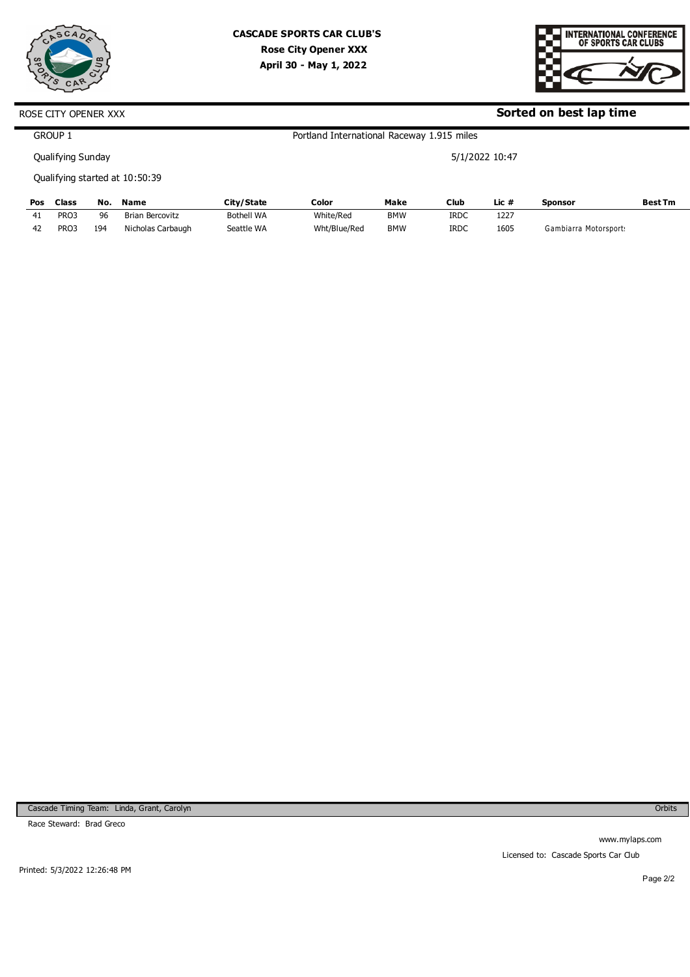



**Sorted on best lap time**

5/1/2022 10:47

# ROSE CITY OPENER XXX

GROUP 1

Qualifying Sunday

Qualifying started at 10:50:39

| Pos | Class            | No.             | <b>Name</b>       | City/State        | Color        | Make       | <b>Club</b> | Lic # | Sponsor               | <b>Best Tm</b> |
|-----|------------------|-----------------|-------------------|-------------------|--------------|------------|-------------|-------|-----------------------|----------------|
| 41  | PRO3             | 96              | Brian Bercovitz   | <b>Bothell WA</b> | White/Red    | BMW        | <b>IRDC</b> | 1227  |                       |                |
| 42  | PRO <sub>3</sub> | L <sub>94</sub> | Nicholas Carbaugh | Seattle WA        | Wht/Blue/Red | <b>BMW</b> | <b>IRDC</b> | 1605  | Gambiarra Motorsport: |                |

Portland International Raceway 1.915 miles

Cascade Timing Team: Linda, Grant, Carolyn

Race Steward: Brad Greco

**Orbits** 

www.mylaps.com Licensed to: Cascade Sports Car Club

Printed: 5/3/2022 12:26:48 PM

Page 2/2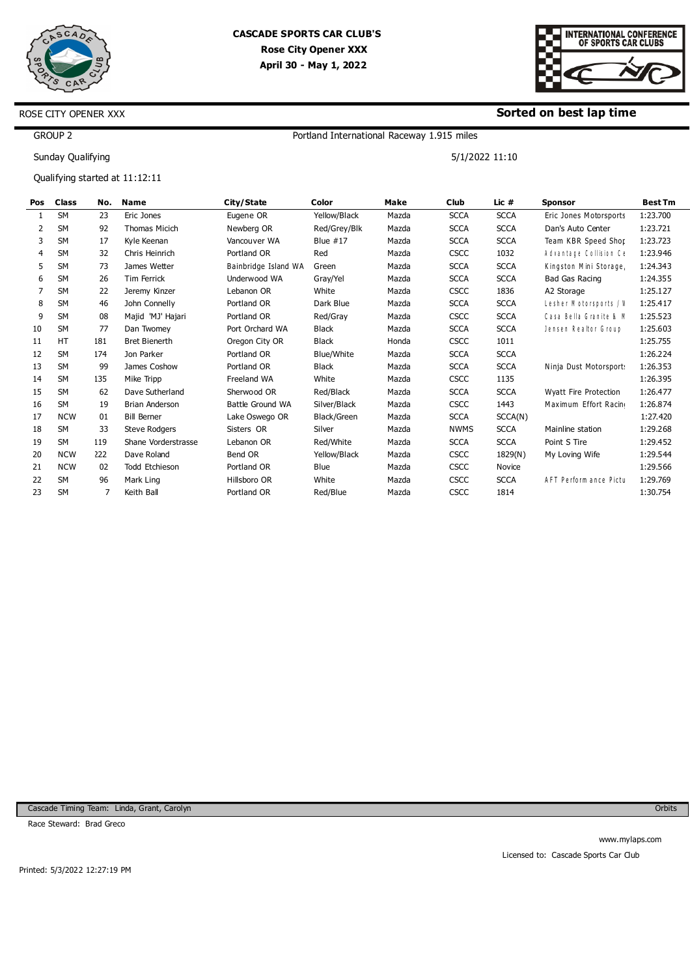



### **Sorted on best lap time**

5/1/2022 11:10

GROUP 2

Sunday Qualifying

ROSE CITY OPENER XXX

Qualifying started at 11:12:11

| <b>Pos</b>     | <b>Class</b> | No.             | Name                  | City/State              | Color        | Make  | Club        | Lic $#$     | <b>Sponsor</b>         | <b>Best Tm</b> |
|----------------|--------------|-----------------|-----------------------|-------------------------|--------------|-------|-------------|-------------|------------------------|----------------|
|                | <b>SM</b>    | 23              | Eric Jones            | Eugene OR               | Yellow/Black | Mazda | <b>SCCA</b> | <b>SCCA</b> | Eric Jones Motorsports | 1:23.700       |
| $\overline{2}$ | <b>SM</b>    | 92              | Thomas Micich         | Newberg OR              | Red/Grey/Blk | Mazda | <b>SCCA</b> | <b>SCCA</b> | Dan's Auto Center      | 1:23.721       |
| 3              | <b>SM</b>    | 17              | Kyle Keenan           | Vancouver WA            | Blue $#17$   | Mazda | <b>SCCA</b> | <b>SCCA</b> | Team KBR Speed Shop    | 1:23.723       |
| 4              | <b>SM</b>    | 32              | Chris Heinrich        | Portland OR             | Red          | Mazda | <b>CSCC</b> | 1032        | Advantage Collision Ce | 1:23.946       |
| 5              | <b>SM</b>    | 73              | James Wetter          | Bainbridge Island WA    | Green        | Mazda | <b>SCCA</b> | <b>SCCA</b> | Kingston Mini Storage  | 1:24.343       |
| 6              | <b>SM</b>    | 26              | Tim Ferrick           | Underwood WA            | Gray/Yel     | Mazda | <b>SCCA</b> | <b>SCCA</b> | Bad Gas Racing         | 1:24.355       |
|                | <b>SM</b>    | 22              | Jeremy Kinzer         | Lebanon OR              | White        | Mazda | <b>CSCC</b> | 1836        | A2 Storage             | 1:25.127       |
| 8              | <b>SM</b>    | 46              | John Connelly         | Portland OR             | Dark Blue    | Mazda | <b>SCCA</b> | <b>SCCA</b> | Lesher Motorsports / V | 1:25.417       |
| 9              | <b>SM</b>    | 08              | Majid 'MJ' Hajari     | Portland OR             | Red/Gray     | Mazda | <b>CSCC</b> | <b>SCCA</b> | Casa Bella Granite & M | 1:25.523       |
| 10             | <b>SM</b>    | 77              | Dan Twomey            | Port Orchard WA         | <b>Black</b> | Mazda | <b>SCCA</b> | <b>SCCA</b> | Jensen Realtor Group   | 1:25.603       |
| 11             | <b>HT</b>    | <b>L81</b>      | <b>Bret Bienerth</b>  | Oregon City OR          | <b>Black</b> | Honda | <b>CSCC</b> | 1011        |                        | 1:25.755       |
| 12             | <b>SM</b>    | L74             | Jon Parker            | Portland OR             | Blue/White   | Mazda | <b>SCCA</b> | <b>SCCA</b> |                        | 1:26.224       |
| 13             | <b>SM</b>    | 99              | James Coshow          | Portland OR             | <b>Black</b> | Mazda | <b>SCCA</b> | <b>SCCA</b> | Ninja Dust Motorsport  | 1:26.353       |
| 14             | <b>SM</b>    | L <sub>35</sub> | Mike Tripp            | Freeland WA             | White        | Mazda | <b>CSCC</b> | 1135        |                        | 1:26.395       |
| 15             | <b>SM</b>    | 62              | Dave Sutherland       | Sherwood OR             | Red/Black    | Mazda | <b>SCCA</b> | <b>SCCA</b> | Wyatt Fire Protection  | 1:26.477       |
| 16             | <b>SM</b>    | 19              | <b>Brian Anderson</b> | <b>Battle Ground WA</b> | Silver/Black | Mazda | <b>CSCC</b> | 1443        | Maximum Effort Racin   | 1:26.874       |
| 17             | <b>NCW</b>   | 01              | <b>Bill Berner</b>    | Lake Oswego OR          | Black/Green  | Mazda | <b>SCCA</b> | SCCA(N)     |                        | 1:27.420       |
| 18             | <b>SM</b>    | 33              | <b>Steve Rodgers</b>  | Sisters OR              | Silver       | Mazda | <b>NWMS</b> | <b>SCCA</b> | Mainline station       | 1:29.268       |
| 19             | <b>SM</b>    | L <sub>19</sub> | Shane Vorderstrasse   | Lebanon OR              | Red/White    | Mazda | <b>SCCA</b> | <b>SCCA</b> | Point S Tire           | 1:29.452       |
| 20             | <b>NCW</b>   | 222             | Dave Roland           | Bend OR                 | Yellow/Black | Mazda | <b>CSCC</b> | 1829(N)     | My Loving Wife         | 1:29.544       |
| 21             | <b>NCW</b>   | 02              | Todd Etchieson        | Portland OR             | Blue         | Mazda | <b>CSCC</b> | Novice      |                        | 1:29.566       |
| 22             | <b>SM</b>    | 96              | Mark Ling             | Hillsboro OR            | White        | Mazda | <b>CSCC</b> | <b>SCCA</b> | AFT Perform ance Pictu | 1:29.769       |
| 23             | <b>SM</b>    | 7               | Keith Ball            | Portland OR             | Red/Blue     | Mazda | <b>CSCC</b> | 1814        |                        | 1:30.754       |
|                |              |                 |                       |                         |              |       |             |             |                        |                |

Portland International Raceway 1.915 miles

Cascade Timing Team: Linda, Grant, Carolyn

Race Steward: Brad Greco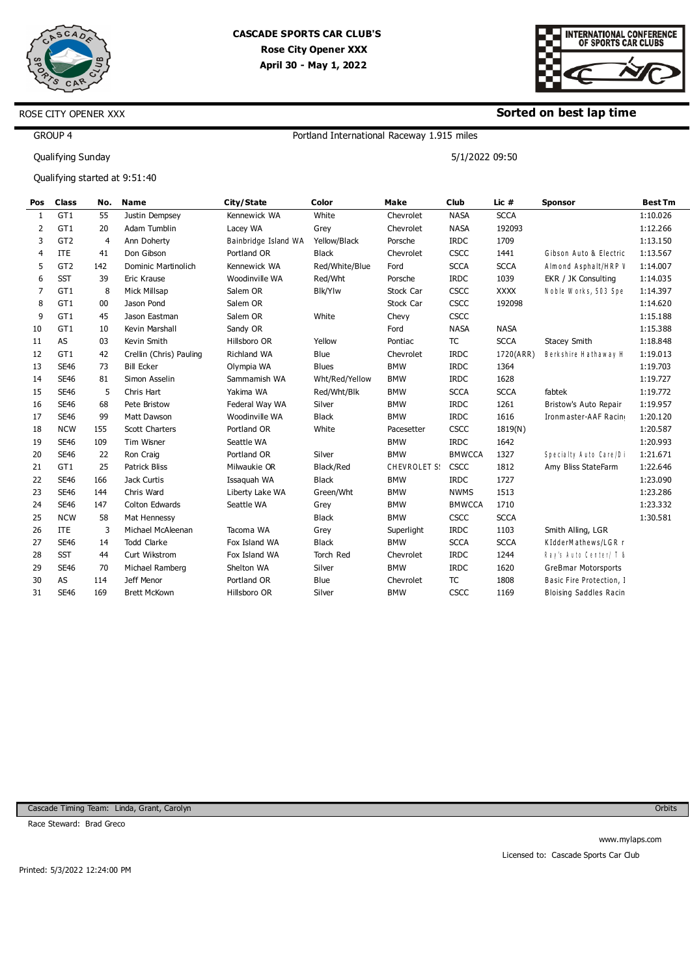



### **Sorted on best lap time**

5/1/2022 09:50

### GROUP 4

Qualifying Sunday

ROSE CITY OPENER XXX

Qualifying started at 9:51:40

| Pos            | <b>Class</b>    | No.             | <b>Name</b>                | City/State           | Color            | Make         | <b>Club</b>   | Lic #       | <b>Sponsor</b>                | <b>Best Tm</b> |
|----------------|-----------------|-----------------|----------------------------|----------------------|------------------|--------------|---------------|-------------|-------------------------------|----------------|
| 1              | GT1             | 55              | Justin Dempsey             | Kennewick WA         | White            | Chevrolet    | <b>NASA</b>   | <b>SCCA</b> |                               | 1:10.026       |
| 2              | GT1             | 20              | Adam Tumblin               | Lacey WA             | Grey             | Chevrolet    | <b>NASA</b>   | 192093      |                               | 1:12.266       |
| 3              | GT <sub>2</sub> | 4               | Ann Doherty                | Bainbridge Island WA | Yellow/Black     | Porsche      | <b>IRDC</b>   | 1709        |                               | 1:13.150       |
| $\overline{4}$ | <b>ITE</b>      | 41              | Don Gibson                 | Portland OR          | <b>Black</b>     | Chevrolet    | <b>CSCC</b>   | 1441        | Gibson Auto & Electric        | 1:13.567       |
| 5              | GT <sub>2</sub> | L42             | <b>Dominic Martinolich</b> | Kennewick WA         | Red/White/Blue   | Ford         | <b>SCCA</b>   | <b>SCCA</b> | Almond Asphalt/HRP \          | 1:14.007       |
| 6              | <b>SST</b>      | 39              | Eric Krause                | Woodinville WA       | Red/Wht          | Porsche      | <b>IRDC</b>   | 1039        | EKR / JK Consulting           | 1:14.035       |
| 7              | GT1             | 8               | Mick Millsap               | Salem OR             | <b>Blk/Ylw</b>   | Stock Car    | <b>CSCC</b>   | XXXX        | Noble Works, 503 Spe          | 1:14.397       |
| 8              | GT1             | $00\,$          | Jason Pond                 | Salem OR             |                  | Stock Car    | <b>CSCC</b>   | 192098      |                               | 1:14.620       |
| 9              | GT1             | 45              | Jason Eastman              | Salem OR             | White            | Chevy        | <b>CSCC</b>   |             |                               | 1:15.188       |
| 10             | GT1             | 10              | Kevin Marshall             | Sandy OR             |                  | Ford         | <b>NASA</b>   | <b>NASA</b> |                               | 1:15.388       |
| 11             | AS              | 03              | Kevin Smith                | Hillsboro OR         | Yellow           | Pontiac      | <b>TC</b>     | <b>SCCA</b> | Stacey Smith                  | 1:18.848       |
| 12             | GT1             | 42              | Crellin (Chris) Pauling    | <b>Richland WA</b>   | Blue             | Chevrolet    | <b>IRDC</b>   | 1720(ARR)   | Berkshire Hathaway H          | 1:19.013       |
| 13             | <b>SE46</b>     | 73              | <b>Bill Ecker</b>          | Olympia WA           | <b>Blues</b>     | <b>BMW</b>   | <b>IRDC</b>   | 1364        |                               | 1:19.703       |
| 14             | <b>SE46</b>     | 81              | Simon Asselin              | Sammamish WA         | Wht/Red/Yellow   | <b>BMW</b>   | <b>IRDC</b>   | 1628        |                               | 1:19.727       |
| 15             | <b>SE46</b>     | 5               | Chris Hart                 | Yakima WA            | Red/Wht/Blk      | <b>BMW</b>   | <b>SCCA</b>   | <b>SCCA</b> | fabtek                        | 1:19.772       |
| 16             | <b>SE46</b>     | 68              | Pete Bristow               | Federal Way WA       | Silver           | <b>BMW</b>   | <b>IRDC</b>   | 1261        | Bristow's Auto Repair         | 1:19.957       |
| 17             | <b>SE46</b>     | 99              | <b>Matt Dawson</b>         | Woodinville WA       | <b>Black</b>     | <b>BMW</b>   | <b>IRDC</b>   | 1616        | Ironmaster-AAF Racin          | 1:20.120       |
| 18             | <b>NCW</b>      | L <sub>55</sub> | Scott Charters             | Portland OR          | White            | Pacesetter   | <b>CSCC</b>   | 1819(N)     |                               | 1:20.587       |
| 19             | <b>SE46</b>     | LO9             | Tim Wisner                 | Seattle WA           |                  | <b>BMW</b>   | <b>IRDC</b>   | 1642        |                               | 1:20.993       |
| 20             | <b>SE46</b>     | 22              | Ron Craig                  | Portland OR          | Silver           | <b>BMW</b>   | <b>BMWCCA</b> | 1327        | Specialty Auto Care/Di        | 1:21.671       |
| 21             | GT1             | 25              | <b>Patrick Bliss</b>       | Milwaukie OR         | Black/Red        | CHEVROLET S! | <b>CSCC</b>   | 1812        | Amy Bliss StateFarm           | 1:22.646       |
| 22             | <b>SE46</b>     | L66             | Jack Curtis                | Issaquah WA          | <b>Black</b>     | <b>BMW</b>   | <b>IRDC</b>   | 1727        |                               | 1:23.090       |
| 23             | <b>SE46</b>     | <b>L44</b>      | Chris Ward                 | Liberty Lake WA      | Green/Wht        | <b>BMW</b>   | <b>NWMS</b>   | 1513        |                               | 1:23.286       |
| 24             | <b>SE46</b>     | L47             | Colton Edwards             | Seattle WA           | Grey             | <b>BMW</b>   | <b>BMWCCA</b> | 1710        |                               | 1:23.332       |
| 25             | <b>NCW</b>      | 58              | Mat Hennessy               |                      | <b>Black</b>     | <b>BMW</b>   | <b>CSCC</b>   | <b>SCCA</b> |                               | 1:30.581       |
| 26             | <b>ITE</b>      | 3               | Michael McAleenan          | Tacoma WA            | Grey             | Superlight   | <b>IRDC</b>   | 1103        | Smith Alling, LGR             |                |
| 27             | <b>SE46</b>     | 14              | <b>Todd Clarke</b>         | Fox Island WA        | <b>Black</b>     | <b>BMW</b>   | <b>SCCA</b>   | <b>SCCA</b> | KIdderMathews/LGR r           |                |
| 28             | <b>SST</b>      | 44              | Curt Wikstrom              | Fox Island WA        | <b>Torch Red</b> | Chevrolet    | <b>IRDC</b>   | 1244        | Ray's Auto Center/ T &        |                |
| 29             | <b>SE46</b>     | 70              | Michael Ramberg            | Shelton WA           | Silver           | <b>BMW</b>   | <b>IRDC</b>   | 1620        | GreBmar Motorsports           |                |
| 30             | AS              | L <sub>14</sub> | Jeff Menor                 | Portland OR          | Blue             | Chevrolet    | <b>TC</b>     | 1808        | Basic Fire Protection, 1      |                |
| 31             | <b>SE46</b>     | L69             | <b>Brett McKown</b>        | Hillsboro OR         | Silver           | <b>BMW</b>   | <b>CSCC</b>   | 1169        | <b>Bloising Saddles Racin</b> |                |
|                |                 |                 |                            |                      |                  |              |               |             |                               |                |

Portland International Raceway 1.915 miles

Cascade Timing Team: Linda, Grant, Carolyn

Race Steward: Brad Greco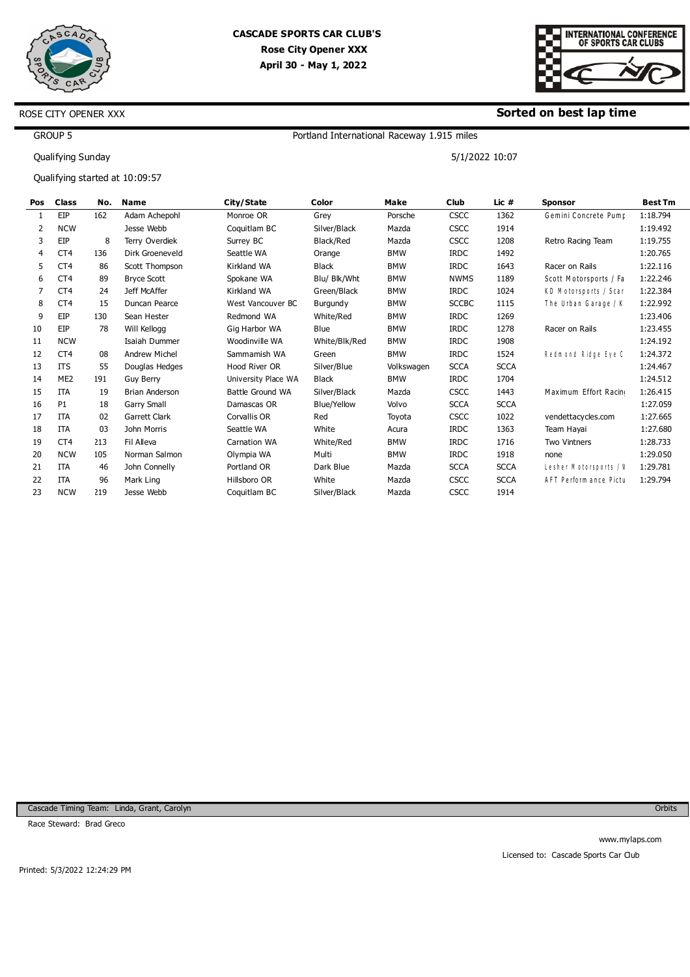



### **Sorted on best lap time**

5/1/2022 10:07

GROUP 5

Qualifying Sunday

ROSE CITY OPENER XXX

Qualifying started at 10:09:57

| Pos | <b>Class</b>    | No.             | <b>Name</b>          | City/State          | Color              | Make       | <b>Club</b>  | Lic #       | <b>Sponsor</b>         | <b>Best Tm</b> |
|-----|-----------------|-----------------|----------------------|---------------------|--------------------|------------|--------------|-------------|------------------------|----------------|
|     | EIP             | L62             | Adam Achepohl        | Monroe OR           | Grey               | Porsche    | <b>CSCC</b>  | 1362        | Gemini Concrete Pump   | 1:18.794       |
| 2   | <b>NCW</b>      |                 | Jesse Webb           | Coquitlam BC        | Silver/Black       | Mazda      | <b>CSCC</b>  | 1914        |                        | 1:19.492       |
| 3   | EIP             | 8               | Terry Overdiek       | Surrey BC           | Black/Red          | Mazda      | <b>CSCC</b>  | 1208        | Retro Racing Team      | 1:19.755       |
| 4   | CT <sub>4</sub> | L <sub>36</sub> | Dirk Groeneveld      | Seattle WA          | Orange             | <b>BMW</b> | <b>IRDC</b>  | 1492        |                        | 1:20.765       |
| 5   | CT <sub>4</sub> | 86              | Scott Thompson       | Kirkland WA         | Black              | <b>BMW</b> | <b>IRDC</b>  | 1643        | Racer on Rails         | 1:22.116       |
| 6   | CT <sub>4</sub> | 89              | <b>Bryce Scott</b>   | Spokane WA          | Blu/ Blk/Wht       | <b>BMW</b> | <b>NWMS</b>  | 1189        | Scott Motorsports / Fa | 1:22.246       |
| 7   | CT <sub>4</sub> | 24              | Jeff McAffer         | Kirkland WA         | Green/Black        | <b>BMW</b> | <b>IRDC</b>  | 1024        | KD Motorsports / Scar  | 1:22.384       |
| 8   | CT <sub>4</sub> | 15              | Duncan Pearce        | West Vancouver BC   | Burgundy           | <b>BMW</b> | <b>SCCBC</b> | 1115        | The Urban Garage / K   | 1:22.992       |
| 9   | EIP             | L30             | Sean Hester          | Redmond WA          | White/Red          | <b>BMW</b> | <b>IRDC</b>  | 1269        |                        | 1:23.406       |
| 10  | EIP             | 78              | Will Kellogg         | Gig Harbor WA       | Blue               | <b>BMW</b> | <b>IRDC</b>  | 1278        | Racer on Rails         | 1:23.455       |
| 11  | <b>NCW</b>      |                 | Isaiah Dummer        | Woodinville WA      | White/Blk/Red      | <b>BMW</b> | <b>IRDC</b>  | 1908        |                        | 1:24.192       |
| 12  | CT <sub>4</sub> | 08              | <b>Andrew Michel</b> | Sammamish WA        | Green              | <b>BMW</b> | <b>IRDC</b>  | 1524        | Redmond Ridge Eye C    | 1:24.372       |
| 13  | <b>ITS</b>      | 55              | Douglas Hedges       | Hood River OR       | Silver/Blue        | Volkswagen | <b>SCCA</b>  | <b>SCCA</b> |                        | 1:24.467       |
| 14  | ME <sub>2</sub> | L91             | <b>Guv Berry</b>     | University Place WA | <b>Black</b>       | <b>BMW</b> | <b>IRDC</b>  | 1704        |                        | 1:24.512       |
| 15  | <b>ITA</b>      | 19              | Brian Anderson       | Battle Ground WA    | Silver/Black       | Mazda      | <b>CSCC</b>  | 1443        | Maximum Effort Racin   | 1:26.415       |
| 16  | P1              | 18              | Garry Small          | Damascas OR         | <b>Blue/Yellow</b> | Volvo      | <b>SCCA</b>  | <b>SCCA</b> |                        | 1:27.059       |
| 17  | <b>ITA</b>      | 02              | Garrett Clark        | Corvallis OR        | Red                | Toyota     | <b>CSCC</b>  | 1022        | vendettacycles.com     | 1:27.665       |
| 18  | <b>ITA</b>      | 03              | John Morris          | Seattle WA          | White              | Acura      | <b>IRDC</b>  | 1363        | Team Hayai             | 1:27.680       |
| 19  | CT <sub>4</sub> | 213             | Fil Alleva           | <b>Carnation WA</b> | White/Red          | <b>BMW</b> | <b>IRDC</b>  | 1716        | <b>Two Vintners</b>    | 1:28.733       |
| 20  | <b>NCW</b>      | <b>LO5</b>      | Norman Salmon        | Olympia WA          | Multi              | <b>BMW</b> | <b>IRDC</b>  | 1918        | none                   | 1:29.050       |
| 21  | <b>ITA</b>      | 46              | John Connelly        | Portland OR         | Dark Blue          | Mazda      | <b>SCCA</b>  | <b>SCCA</b> | Lesher Motorsports / V | 1:29.781       |
| 22  | ITA             | 96              | Mark Ling            | Hillsboro OR        | White              | Mazda      | <b>CSCC</b>  | <b>SCCA</b> | AFT Perform ance Pictu | 1:29.794       |
| 23  | <b>NCW</b>      | 219             | Jesse Webb           | Coquitlam BC        | Silver/Black       | Mazda      | <b>CSCC</b>  | 1914        |                        |                |

Portland International Raceway 1.915 miles

Cascade Timing Team: Linda, Grant, Carolyn

Race Steward: Brad Greco